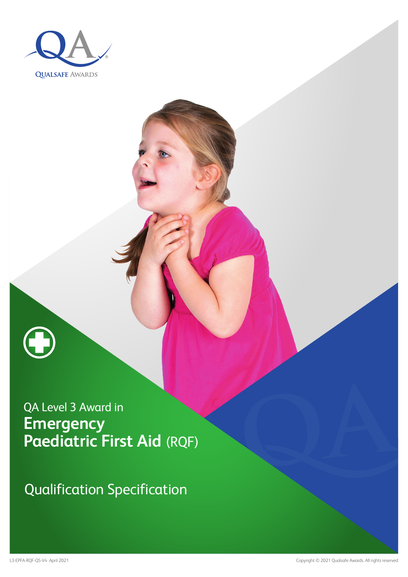



Qualification Specification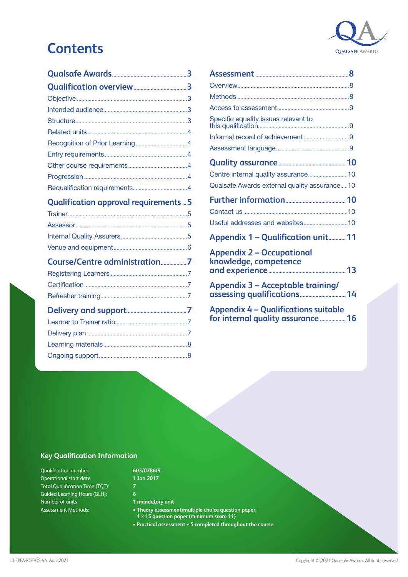# **Contents**



| <b>Qualification approval requirements5</b> |  |
|---------------------------------------------|--|
|                                             |  |
|                                             |  |
|                                             |  |
|                                             |  |
|                                             |  |
| Course/Centre administration7               |  |
|                                             |  |
|                                             |  |
|                                             |  |
|                                             |  |
|                                             |  |
|                                             |  |

[Ongoing support............................................................8](#page-7-0)

| Specific equality issues relevant to                                              |  |
|-----------------------------------------------------------------------------------|--|
|                                                                                   |  |
|                                                                                   |  |
|                                                                                   |  |
| Centre internal quality assurance10                                               |  |
| Qualsafe Awards external quality assurance10                                      |  |
|                                                                                   |  |
|                                                                                   |  |
| Useful addresses and websites10                                                   |  |
| <b>Appendix 1 - Qualification unit 11</b>                                         |  |
| <b>Appendix 2 - Occupational</b><br>knowledge, competence                         |  |
| <b>Appendix 3 - Acceptable training/</b>                                          |  |
| <b>Appendix 4 - Qualifications suitable</b><br>for internal quality assurance  16 |  |

### **Key Qualification Information**

Qualification number: Operational start date Total Qualification Time (TQT): Guided Learning Hours (GLH): Number of units Assessment Methods:

#### **603/0786/9 1 Jan 2017**

#### **1 mandatory unit**

- **Theory assessment/multiple choice question paper:**
- **1 x 15 question paper (minimum score 11)**
- **Practical assessment 5 completed throughout the course**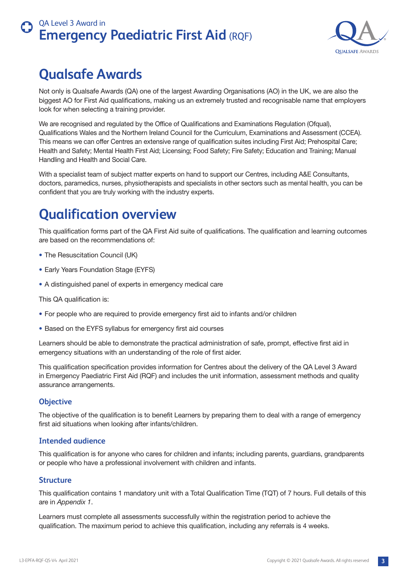

# **Qualsafe Awards**

Not only is Qualsafe Awards (QA) one of the largest Awarding Organisations (AO) in the UK, we are also the biggest AO for First Aid qualifications, making us an extremely trusted and recognisable name that employers look for when selecting a training provider.

We are recognised and regulated by the Office of Qualifications and Examinations Regulation (Ofgual), Qualifications Wales and the Northern Ireland Council for the Curriculum, Examinations and Assessment (CCEA). This means we can offer Centres an extensive range of qualification suites including First Aid; Prehospital Care; Health and Safety; Mental Health First Aid; Licensing; Food Safety; Fire Safety; Education and Training; Manual Handling and Health and Social Care.

With a specialist team of subject matter experts on hand to support our Centres, including A&E Consultants, doctors, paramedics, nurses, physiotherapists and specialists in other sectors such as mental health, you can be confident that you are truly working with the industry experts.

# **Qualification overview**

This qualification forms part of the QA First Aid suite of qualifications. The qualification and learning outcomes are based on the recommendations of:

- The Resuscitation Council (UK)
- Early Years Foundation Stage (EYFS)
- A distinguished panel of experts in emergency medical care

This QA qualification is:

- For people who are required to provide emergency first aid to infants and/or children
- Based on the EYFS syllabus for emergency first aid courses

Learners should be able to demonstrate the practical administration of safe, prompt, effective first aid in emergency situations with an understanding of the role of first aider.

This qualification specification provides information for Centres about the delivery of the QA Level 3 Award in Emergency Paediatric First Aid (RQF) and includes the unit information, assessment methods and quality assurance arrangements.

### **Objective**

The objective of the qualification is to benefit Learners by preparing them to deal with a range of emergency first aid situations when looking after infants/children.

### **Intended audience**

This qualification is for anyone who cares for children and infants; including parents, guardians, grandparents or people who have a professional involvement with children and infants.

### **Structure**

This qualification contains 1 mandatory unit with a Total Qualification Time (TQT) of 7 hours. Full details of this are in *Appendix 1*.

Learners must complete all assessments successfully within the registration period to achieve the qualification. The maximum period to achieve this qualification, including any referrals is 4 weeks.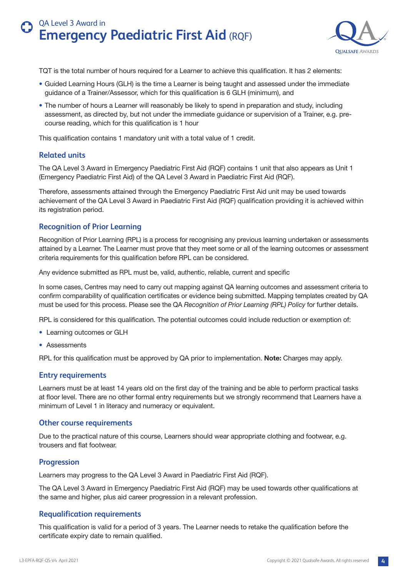

TQT is the total number of hours required for a Learner to achieve this qualification. It has 2 elements:

- Guided Learning Hours (GLH) is the time a Learner is being taught and assessed under the immediate guidance of a Trainer/Assessor, which for this qualification is 6 GLH (minimum), and
- The number of hours a Learner will reasonably be likely to spend in preparation and study, including assessment, as directed by, but not under the immediate guidance or supervision of a Trainer, e.g. precourse reading, which for this qualification is 1 hour

This qualification contains 1 mandatory unit with a total value of 1 credit.

#### **Related units**

The QA Level 3 Award in Emergency Paediatric First Aid (RQF) contains 1 unit that also appears as Unit 1 (Emergency Paediatric First Aid) of the QA Level 3 Award in Paediatric First Aid (RQF).

Therefore, assessments attained through the Emergency Paediatric First Aid unit may be used towards achievement of the QA Level 3 Award in Paediatric First Aid (RQF) qualification providing it is achieved within its registration period.

#### **Recognition of Prior Learning**

Recognition of Prior Learning (RPL) is a process for recognising any previous learning undertaken or assessments attained by a Learner. The Learner must prove that they meet some or all of the learning outcomes or assessment criteria requirements for this qualification before RPL can be considered.

Any evidence submitted as RPL must be, valid, authentic, reliable, current and specific

In some cases, Centres may need to carry out mapping against QA learning outcomes and assessment criteria to confirm comparability of qualification certificates or evidence being submitted. Mapping templates created by QA must be used for this process. Please see the QA *Recognition of Prior Learning (RPL) Policy* for further details.

RPL is considered for this qualification. The potential outcomes could include reduction or exemption of:

- Learning outcomes or GLH
- Assessments

RPL for this qualification must be approved by QA prior to implementation. **Note:** Charges may apply.

#### **Entry requirements**

Learners must be at least 14 years old on the first day of the training and be able to perform practical tasks at floor level. There are no other formal entry requirements but we strongly recommend that Learners have a minimum of Level 1 in literacy and numeracy or equivalent.

#### **Other course requirements**

Due to the practical nature of this course, Learners should wear appropriate clothing and footwear, e.g. trousers and flat footwear.

#### **Progression**

Learners may progress to the QA Level 3 Award in Paediatric First Aid (RQF).

The QA Level 3 Award in Emergency Paediatric First Aid (RQF) may be used towards other qualifications at the same and higher, plus aid career progression in a relevant profession.

#### **Requalification requirements**

This qualification is valid for a period of 3 years. The Learner needs to retake the qualification before the certificate expiry date to remain qualified.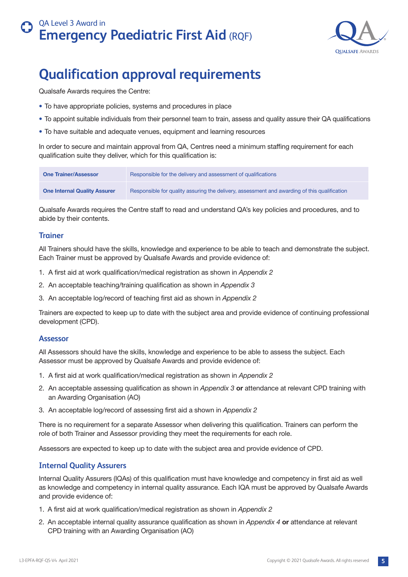

# **Qualification approval requirements**

Qualsafe Awards requires the Centre:

- To have appropriate policies, systems and procedures in place
- To appoint suitable individuals from their personnel team to train, assess and quality assure their QA qualifications
- To have suitable and adequate venues, equipment and learning resources

In order to secure and maintain approval from QA, Centres need a minimum staffing requirement for each qualification suite they deliver, which for this qualification is:

| <b>One Trainer/Assessor</b>         | Responsible for the delivery and assessment of qualifications                                |
|-------------------------------------|----------------------------------------------------------------------------------------------|
| <b>One Internal Quality Assurer</b> | Responsible for quality assuring the delivery, assessment and awarding of this qualification |

Qualsafe Awards requires the Centre staff to read and understand QA's key policies and procedures, and to abide by their contents.

### **Trainer**

All Trainers should have the skills, knowledge and experience to be able to teach and demonstrate the subject. Each Trainer must be approved by Qualsafe Awards and provide evidence of:

- 1. A first aid at work qualification/medical registration as shown in *Appendix 2*
- 2. An acceptable teaching/training qualification as shown in *Appendix 3*
- 3. An acceptable log/record of teaching first aid as shown in *Appendix 2*

Trainers are expected to keep up to date with the subject area and provide evidence of continuing professional development (CPD).

### **Assessor**

All Assessors should have the skills, knowledge and experience to be able to assess the subject. Each Assessor must be approved by Qualsafe Awards and provide evidence of:

- 1. A first aid at work qualification/medical registration as shown in *Appendix 2*
- 2. An acceptable assessing qualification as shown in *Appendix 3* **or** attendance at relevant CPD training with an Awarding Organisation (AO)
- 3. An acceptable log/record of assessing first aid a shown in *Appendix 2*

There is no requirement for a separate Assessor when delivering this qualification. Trainers can perform the role of both Trainer and Assessor providing they meet the requirements for each role.

Assessors are expected to keep up to date with the subject area and provide evidence of CPD.

### **Internal Quality Assurers**

Internal Quality Assurers (IQAs) of this qualification must have knowledge and competency in first aid as well as knowledge and competency in internal quality assurance. Each IQA must be approved by Qualsafe Awards and provide evidence of:

- 1. A first aid at work qualification/medical registration as shown in *Appendix 2*
- 2. An acceptable internal quality assurance qualification as shown in *Appendix 4* **or** attendance at relevant CPD training with an Awarding Organisation (AO)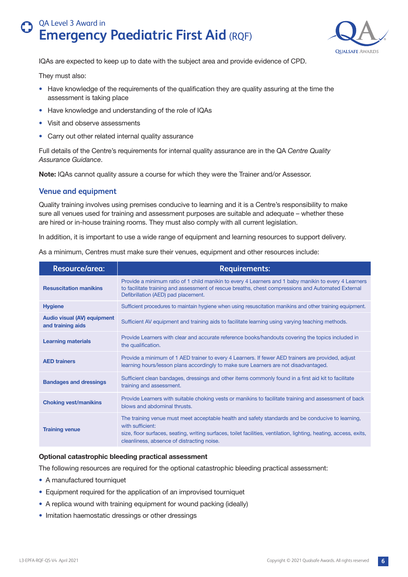

IQAs are expected to keep up to date with the subject area and provide evidence of CPD.

They must also:

- Have knowledge of the requirements of the qualification they are quality assuring at the time the assessment is taking place
- Have knowledge and understanding of the role of IQAs
- Visit and observe assessments
- Carry out other related internal quality assurance

Full details of the Centre's requirements for internal quality assurance are in the QA *Centre Quality Assurance Guidance*.

**Note:** IQAs cannot quality assure a course for which they were the Trainer and/or Assessor.

#### **Venue and equipment**

Quality training involves using premises conducive to learning and it is a Centre's responsibility to make sure all venues used for training and assessment purposes are suitable and adequate – whether these are hired or in-house training rooms. They must also comply with all current legislation.

In addition, it is important to use a wide range of equipment and learning resources to support delivery.

| <b>Resource/area:</b>                                   | <b>Requirements:</b>                                                                                                                                                                                                                                                                      |
|---------------------------------------------------------|-------------------------------------------------------------------------------------------------------------------------------------------------------------------------------------------------------------------------------------------------------------------------------------------|
| <b>Resuscitation manikins</b>                           | Provide a minimum ratio of 1 child manikin to every 4 Learners and 1 baby manikin to every 4 Learners<br>to facilitate training and assessment of rescue breaths, chest compressions and Automated External<br>Defibrillation (AED) pad placement.                                        |
| <b>Hygiene</b>                                          | Sufficient procedures to maintain hygiene when using resuscitation manikins and other training equipment.                                                                                                                                                                                 |
| <b>Audio visual (AV) equipment</b><br>and training aids | Sufficient AV equipment and training aids to facilitate learning using varying teaching methods.                                                                                                                                                                                          |
| <b>Learning materials</b>                               | Provide Learners with clear and accurate reference books/handouts covering the topics included in<br>the qualification.                                                                                                                                                                   |
| <b>AED trainers</b>                                     | Provide a minimum of 1 AED trainer to every 4 Learners. If fewer AED trainers are provided, adjust<br>learning hours/lesson plans accordingly to make sure Learners are not disadvantaged.                                                                                                |
| <b>Bandages and dressings</b>                           | Sufficient clean bandages, dressings and other items commonly found in a first aid kit to facilitate<br>training and assessment.                                                                                                                                                          |
| <b>Choking vest/manikins</b>                            | Provide Learners with suitable choking vests or manikins to facilitate training and assessment of back<br>blows and abdominal thrusts.                                                                                                                                                    |
| <b>Training venue</b>                                   | The training venue must meet acceptable health and safety standards and be conducive to learning,<br>with sufficient:<br>size, floor surfaces, seating, writing surfaces, toilet facilities, ventilation, lighting, heating, access, exits,<br>cleanliness, absence of distracting noise. |

As a minimum, Centres must make sure their venues, equipment and other resources include:

#### **Optional catastrophic bleeding practical assessment**

The following resources are required for the optional catastrophic bleeding practical assessment:

- A manufactured tourniquet
- Equipment required for the application of an improvised tourniquet
- A replica wound with training equipment for wound packing (ideally)
- Imitation haemostatic dressings or other dressings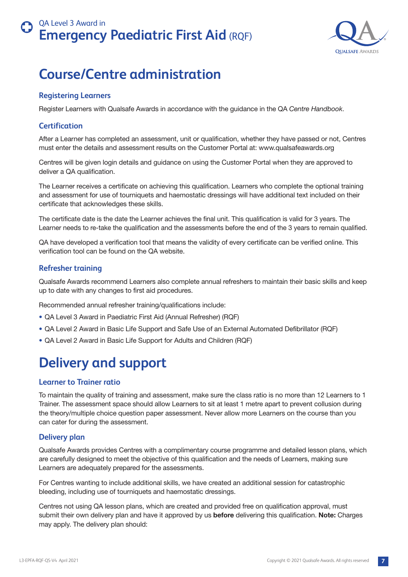

# <span id="page-6-0"></span>**Course/Centre administration**

### **Registering Learners**

Register Learners with Qualsafe Awards in accordance with the guidance in the QA *Centre Handbook*.

### **Certification**

After a Learner has completed an assessment, unit or qualification, whether they have passed or not, Centres must enter the details and assessment results on the Customer Portal at: www.qualsafeawards.org

Centres will be given login details and guidance on using the Customer Portal when they are approved to deliver a QA qualification.

The Learner receives a certificate on achieving this qualification. Learners who complete the optional training and assessment for use of tourniquets and haemostatic dressings will have additional text included on their certificate that acknowledges these skills.

The certificate date is the date the Learner achieves the final unit. This qualification is valid for 3 years. The Learner needs to re-take the qualification and the assessments before the end of the 3 years to remain qualified.

QA have developed a verification tool that means the validity of every certificate can be verified online. This verification tool can be found on the QA website.

#### **Refresher training**

Qualsafe Awards recommend Learners also complete annual refreshers to maintain their basic skills and keep up to date with any changes to first aid procedures.

Recommended annual refresher training/qualifications include:

- QA Level 3 Award in Paediatric First Aid (Annual Refresher) (RQF)
- QA Level 2 Award in Basic Life Support and Safe Use of an External Automated Defibrillator (RQF)
- QA Level 2 Award in Basic Life Support for Adults and Children (RQF)

# **Delivery and support**

### **Learner to Trainer ratio**

To maintain the quality of training and assessment, make sure the class ratio is no more than 12 Learners to 1 Trainer. The assessment space should allow Learners to sit at least 1 metre apart to prevent collusion during the theory/multiple choice question paper assessment. Never allow more Learners on the course than you can cater for during the assessment.

### **Delivery plan**

Qualsafe Awards provides Centres with a complimentary course programme and detailed lesson plans, which are carefully designed to meet the objective of this qualification and the needs of Learners, making sure Learners are adequately prepared for the assessments.

For Centres wanting to include additional skills, we have created an additional session for catastrophic bleeding, including use of tourniquets and haemostatic dressings.

Centres not using QA lesson plans, which are created and provided free on qualification approval, must submit their own delivery plan and have it approved by us **before** delivering this qualification. **Note:** Charges may apply. The delivery plan should: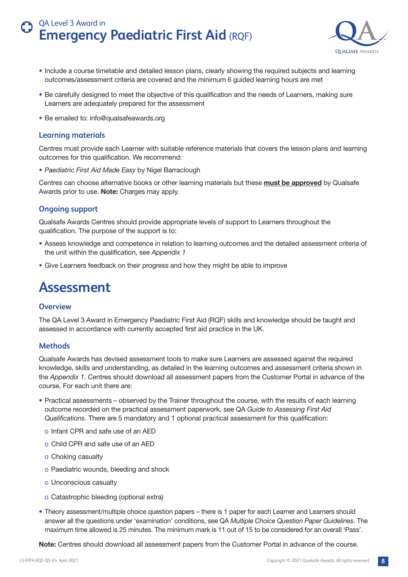

- <span id="page-7-0"></span>• Include a course timetable and detailed lesson plans, clearly showing the required subjects and learning outcomes/assessment criteria are covered and the minimum 6 guided learning hours are met
- Be carefully designed to meet the objective of this qualification and the needs of Learners, making sure Learners are adequately prepared for the assessment
- Be emailed to: info@qualsafeawards.org

#### **Learning materials**

Centres must provide each Learner with suitable reference materials that covers the lesson plans and learning outcomes for this qualification. We recommend:

• *Paediatric First Aid Made Easy* by Nigel Barraclough

Centres can choose alternative books or other learning materials but these **must be approved** by Qualsafe Awards prior to use. **Note:** Charges may apply.

### **Ongoing support**

Qualsafe Awards Centres should provide appropriate levels of support to Learners throughout the qualification. The purpose of the support is to:

- Assess knowledge and competence in relation to learning outcomes and the detailed assessment criteria of the unit within the qualification, see *Appendix 1*
- Give Learners feedback on their progress and how they might be able to improve

# **Assessment**

#### **Overview**

The QA Level 3 Award in Emergency Paediatric First Aid (RQF) skills and knowledge should be taught and assessed in accordance with currently accepted first aid practice in the UK.

### **Methods**

Qualsafe Awards has devised assessment tools to make sure Learners are assessed against the required knowledge, skills and understanding, as detailed in the learning outcomes and assessment criteria shown in the *Appendix 1*. Centres should download all assessment papers from the Customer Portal in advance of the course. For each unit there are:

- Practical assessments observed by the Trainer throughout the course, with the results of each learning outcome recorded on the practical assessment paperwork, see QA *Guide to Assessing First Aid Qualifications*. There are 5 mandatory and 1 optional practical assessment for this qualification:
	- o Infant CPR and safe use of an AED
	- o Child CPR and safe use of an AED
	- o Choking casualty
	- o Paediatric wounds, bleeding and shock
	- o Unconscious casualty
	- o Catastrophic bleeding (optional extra)
- Theory assessment/multiple choice question papers there is 1 paper for each Learner and Learners should answer all the questions under 'examination' conditions, see QA *Multiple Choice Question Paper Guidelines*. The maximum time allowed is 25 minutes. The minimum mark is 11 out of 15 to be considered for an overall 'Pass'.

**Note:** Centres should download all assessment papers from the Customer Portal in advance of the course.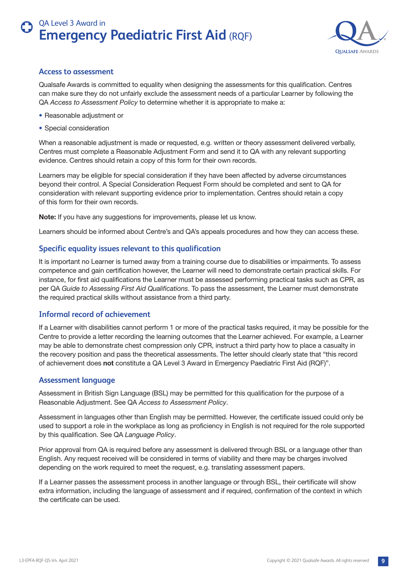

#### <span id="page-8-0"></span>**Access to assessment**

Qualsafe Awards is committed to equality when designing the assessments for this qualification. Centres can make sure they do not unfairly exclude the assessment needs of a particular Learner by following the QA *Access to Assessment Policy* to determine whether it is appropriate to make a:

- Reasonable adjustment or
- Special consideration

When a reasonable adjustment is made or requested, e.g. written or theory assessment delivered verbally, Centres must complete a Reasonable Adjustment Form and send it to QA with any relevant supporting evidence. Centres should retain a copy of this form for their own records.

Learners may be eligible for special consideration if they have been affected by adverse circumstances beyond their control. A Special Consideration Request Form should be completed and sent to QA for consideration with relevant supporting evidence prior to implementation. Centres should retain a copy of this form for their own records.

**Note:** If you have any suggestions for improvements, please let us know.

Learners should be informed about Centre's and QA's appeals procedures and how they can access these.

### **Specific equality issues relevant to this qualification**

It is important no Learner is turned away from a training course due to disabilities or impairments. To assess competence and gain certification however, the Learner will need to demonstrate certain practical skills. For instance, for first aid qualifications the Learner must be assessed performing practical tasks such as CPR, as per QA *Guide to Assessing First Aid Qualifications*. To pass the assessment, the Learner must demonstrate the required practical skills without assistance from a third party.

### **Informal record of achievement**

If a Learner with disabilities cannot perform 1 or more of the practical tasks required, it may be possible for the Centre to provide a letter recording the learning outcomes that the Learner achieved. For example, a Learner may be able to demonstrate chest compression only CPR, instruct a third party how to place a casualty in the recovery position and pass the theoretical assessments. The letter should clearly state that "this record of achievement does **not** constitute a QA Level 3 Award in Emergency Paediatric First Aid (RQF)".

### **Assessment language**

Assessment in British Sign Language (BSL) may be permitted for this qualification for the purpose of a Reasonable Adjustment. See QA *Access to Assessment Policy*.

Assessment in languages other than English may be permitted. However, the certificate issued could only be used to support a role in the workplace as long as proficiency in English is not required for the role supported by this qualification. See QA *Language Policy*.

Prior approval from QA is required before any assessment is delivered through BSL or a language other than English. Any request received will be considered in terms of viability and there may be charges involved depending on the work required to meet the request, e.g. translating assessment papers.

If a Learner passes the assessment process in another language or through BSL, their certificate will show extra information, including the language of assessment and if required, confirmation of the context in which the certificate can be used.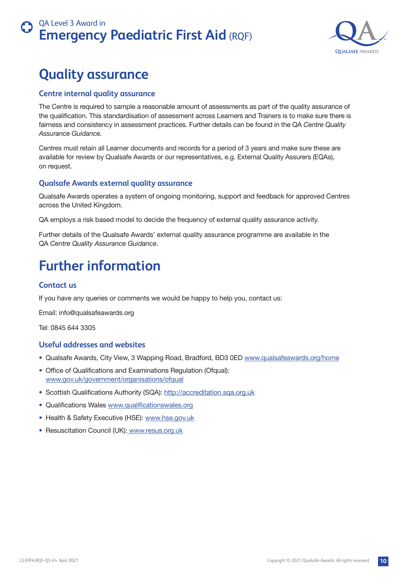

# <span id="page-9-0"></span>**Quality assurance**

### **Centre internal quality assurance**

The Centre is required to sample a reasonable amount of assessments as part of the quality assurance of the qualification. This standardisation of assessment across Learners and Trainers is to make sure there is fairness and consistency in assessment practices. Further details can be found in the QA *Centre Quality Assurance Guidance.*

Centres must retain all Learner documents and records for a period of 3 years and make sure these are available for review by Qualsafe Awards or our representatives, e.g. External Quality Assurers (EQAs), on request.

### **Qualsafe Awards external quality assurance**

Qualsafe Awards operates a system of ongoing monitoring, support and feedback for approved Centres across the United Kingdom.

QA employs a risk based model to decide the frequency of external quality assurance activity.

Further details of the Qualsafe Awards' external quality assurance programme are available in the QA *Centre Quality Assurance Guidance*.

# **Further information**

## **Contact us**

If you have any queries or comments we would be happy to help you, contact us:

Email: info@qualsafeawards.org

Tel: 0845 644 3305

### **Useful addresses and websites**

- Qualsafe Awards, City View, 3 Wapping Road, Bradford, BD3 0ED www.qualsafeawards.org/home
- Office of Qualifications and Examinations Regulation (Ofqual): www.gov.uk/government/organisations/ofqual
- Scottish Qualifications Authority (SQA): <http://accreditation.sqa.org.uk>
- Qualifications Wales www.qualificationswales.org
- Health & Safety Executive (HSE): www.hse.gov.uk
- Resuscitation Council (UK): www.resus.org.uk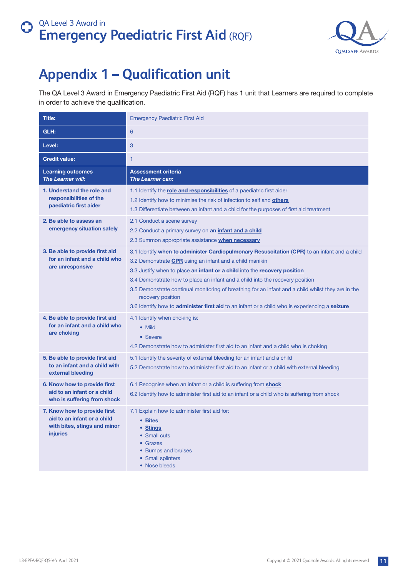

# <span id="page-10-0"></span>**Appendix 1 – Qualification unit**

The QA Level 3 Award in Emergency Paediatric First Aid (RQF) has 1 unit that Learners are required to complete in order to achieve the qualification.

| <b>Title:</b>                                                                                           | <b>Emergency Paediatric First Aid</b>                                                                                                                                                                                                                                                                                                                                                                                                                                                                                                                            |
|---------------------------------------------------------------------------------------------------------|------------------------------------------------------------------------------------------------------------------------------------------------------------------------------------------------------------------------------------------------------------------------------------------------------------------------------------------------------------------------------------------------------------------------------------------------------------------------------------------------------------------------------------------------------------------|
| GLH:                                                                                                    | 6                                                                                                                                                                                                                                                                                                                                                                                                                                                                                                                                                                |
| Level:                                                                                                  | 3                                                                                                                                                                                                                                                                                                                                                                                                                                                                                                                                                                |
| <b>Credit value:</b>                                                                                    | $\mathbf{1}$                                                                                                                                                                                                                                                                                                                                                                                                                                                                                                                                                     |
| <b>Learning outcomes</b><br><b>The Learner will:</b>                                                    | <b>Assessment criteria</b><br><b>The Learner can:</b>                                                                                                                                                                                                                                                                                                                                                                                                                                                                                                            |
| 1. Understand the role and<br>responsibilities of the<br>paediatric first aider                         | 1.1 Identify the role and responsibilities of a paediatric first aider<br>1.2 Identify how to minimise the risk of infection to self and others<br>1.3 Differentiate between an infant and a child for the purposes of first aid treatment                                                                                                                                                                                                                                                                                                                       |
| 2. Be able to assess an<br>emergency situation safely                                                   | 2.1 Conduct a scene survey<br>2.2 Conduct a primary survey on an infant and a child<br>2.3 Summon appropriate assistance when necessary                                                                                                                                                                                                                                                                                                                                                                                                                          |
| 3. Be able to provide first aid<br>for an infant and a child who<br>are unresponsive                    | 3.1 Identify when to administer Cardiopulmonary Resuscitation (CPR) to an infant and a child<br>3.2 Demonstrate CPR using an infant and a child manikin<br>3.3 Justify when to place an infant or a child into the recovery position<br>3.4 Demonstrate how to place an infant and a child into the recovery position<br>3.5 Demonstrate continual monitoring of breathing for an infant and a child whilst they are in the<br>recovery position<br>3.6 Identify how to <b>administer first aid</b> to an infant or a child who is experiencing a <b>seizure</b> |
| 4. Be able to provide first aid<br>for an infant and a child who<br>are choking                         | 4.1 Identify when choking is:<br>• Mild<br>• Severe<br>4.2 Demonstrate how to administer first aid to an infant and a child who is choking                                                                                                                                                                                                                                                                                                                                                                                                                       |
| 5. Be able to provide first aid<br>to an infant and a child with<br>external bleeding                   | 5.1 Identify the severity of external bleeding for an infant and a child<br>5.2 Demonstrate how to administer first aid to an infant or a child with external bleeding                                                                                                                                                                                                                                                                                                                                                                                           |
| 6. Know how to provide first<br>aid to an infant or a child<br>who is suffering from shock              | 6.1 Recognise when an infant or a child is suffering from <b>shock</b><br>6.2 Identify how to administer first aid to an infant or a child who is suffering from shock                                                                                                                                                                                                                                                                                                                                                                                           |
| 7. Know how to provide first<br>aid to an infant or a child<br>with bites, stings and minor<br>injuries | 7.1 Explain how to administer first aid for:<br>• Bites<br>• Stings<br>• Small cuts<br>• Grazes<br>• Bumps and bruises<br>• Small splinters<br>• Nose bleeds                                                                                                                                                                                                                                                                                                                                                                                                     |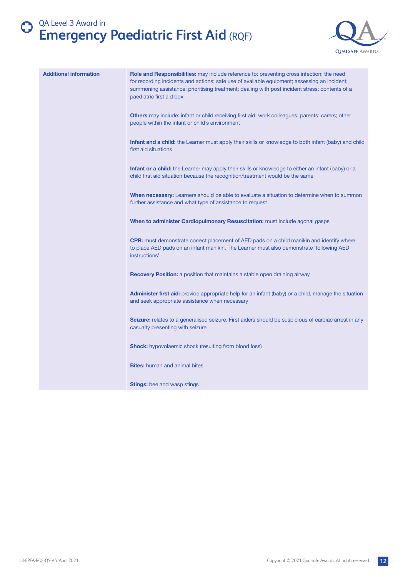

| <b>Additional information</b> | Role and Responsibilities: may include reference to: preventing cross infection; the need<br>for recording incidents and actions; safe use of available equipment; assessing an incident;<br>summoning assistance; prioritising treatment; dealing with post incident stress; contents of a<br>paediatric first aid box |
|-------------------------------|-------------------------------------------------------------------------------------------------------------------------------------------------------------------------------------------------------------------------------------------------------------------------------------------------------------------------|
|                               | Others may include: infant or child receiving first aid; work colleagues; parents; carers; other<br>people within the infant or child's environment                                                                                                                                                                     |
|                               | <b>Infant and a child:</b> the Learner must apply their skills or knowledge to both infant (baby) and child<br>first aid situations                                                                                                                                                                                     |
|                               | Infant or a child: the Learner may apply their skills or knowledge to either an infant (baby) or a<br>child first aid situation because the recognition/treatment would be the same                                                                                                                                     |
|                               | <b>When necessary:</b> Learners should be able to evaluate a situation to determine when to summon<br>further assistance and what type of assistance to request                                                                                                                                                         |
|                               | When to administer Cardiopulmonary Resuscitation: must include agonal gasps                                                                                                                                                                                                                                             |
|                               | <b>CPR:</b> must demonstrate correct placement of AED pads on a child manikin and identify where<br>to place AED pads on an infant manikin. The Learner must also demonstrate 'following AED<br>instructions'                                                                                                           |
|                               | Recovery Position: a position that maintains a stable open draining airway                                                                                                                                                                                                                                              |
|                               | Administer first aid: provide appropriate help for an infant (baby) or a child, manage the situation<br>and seek appropriate assistance when necessary                                                                                                                                                                  |
|                               | <b>Seizure:</b> relates to a generalised seizure. First aiders should be suspicious of cardiac arrest in any<br>casualty presenting with seizure                                                                                                                                                                        |
|                               | <b>Shock:</b> hypovolaemic shock (resulting from blood loss)                                                                                                                                                                                                                                                            |
|                               | <b>Bites:</b> human and animal bites                                                                                                                                                                                                                                                                                    |
|                               | <b>Stings:</b> bee and wasp stings                                                                                                                                                                                                                                                                                      |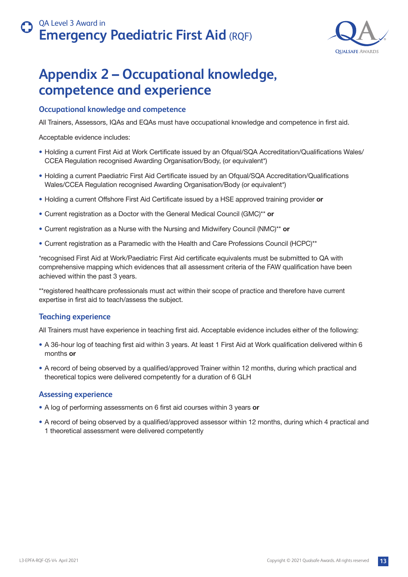

# <span id="page-12-0"></span>**Appendix 2 – Occupational knowledge, competence and experience**

### **Occupational knowledge and competence**

All Trainers, Assessors, IQAs and EQAs must have occupational knowledge and competence in first aid.

Acceptable evidence includes:

- Holding a current First Aid at Work Certificate issued by an Ofqual/SQA Accreditation/Qualifications Wales/ CCEA Regulation recognised Awarding Organisation/Body, (or equivalent\*)
- Holding a current Paediatric First Aid Certificate issued by an Ofqual/SQA Accreditation/Qualifications Wales/CCEA Regulation recognised Awarding Organisation/Body (or equivalent\*)
- Holding a current Offshore First Aid Certificate issued by a HSE approved training provider **or**
- Current registration as a Doctor with the General Medical Council (GMC)\*\* **or**
- Current registration as a Nurse with the Nursing and Midwifery Council (NMC)\*\* **or**
- Current registration as a Paramedic with the Health and Care Professions Council (HCPC)\*\*

\*recognised First Aid at Work/Paediatric First Aid certificate equivalents must be submitted to QA with comprehensive mapping which evidences that all assessment criteria of the FAW qualification have been achieved within the past 3 years.

\*\*registered healthcare professionals must act within their scope of practice and therefore have current expertise in first aid to teach/assess the subject.

### **Teaching experience**

All Trainers must have experience in teaching first aid. Acceptable evidence includes either of the following:

- A 36-hour log of teaching first aid within 3 years. At least 1 First Aid at Work qualification delivered within 6 months **or**
- A record of being observed by a qualified/approved Trainer within 12 months, during which practical and theoretical topics were delivered competently for a duration of 6 GLH

#### **Assessing experience**

- A log of performing assessments on 6 first aid courses within 3 years **or**
- A record of being observed by a qualified/approved assessor within 12 months, during which 4 practical and 1 theoretical assessment were delivered competently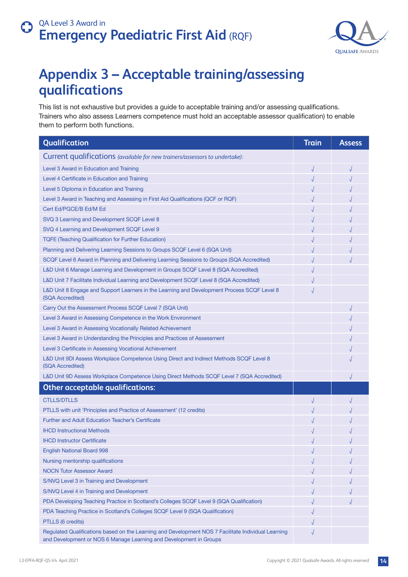

# **Appendix 3 – Acceptable training/assessing qualifications**

This list is not exhaustive but provides a guide to acceptable training and/or assessing qualifications. Trainers who also assess Learners competence must hold an acceptable assessor qualification) to enable them to perform both functions.

| Qualification                                                                                                                                                             | <b>Train</b> | <b>Assess</b> |
|---------------------------------------------------------------------------------------------------------------------------------------------------------------------------|--------------|---------------|
| Current qualifications (available for new trainers/assessors to undertake):                                                                                               |              |               |
| Level 3 Award in Education and Training                                                                                                                                   | $\sqrt{}$    | $\sqrt{ }$    |
| Level 4 Certificate in Education and Training                                                                                                                             |              |               |
| Level 5 Diploma in Education and Training                                                                                                                                 |              |               |
| Level 3 Award in Teaching and Assessing in First Aid Qualifications (QCF or RQF)                                                                                          |              |               |
| Cert Ed/PGCE/B Ed/M Ed                                                                                                                                                    |              |               |
| SVQ 3 Learning and Development SCQF Level 8                                                                                                                               |              |               |
| SVQ 4 Learning and Development SCQF Level 9                                                                                                                               |              |               |
| <b>TQFE (Teaching Qualification for Further Education)</b>                                                                                                                |              |               |
| Planning and Delivering Learning Sessions to Groups SCQF Level 6 (SQA Unit)                                                                                               |              |               |
| SCQF Level 6 Award in Planning and Delivering Learning Sessions to Groups (SQA Accredited)                                                                                |              |               |
| L&D Unit 6 Manage Learning and Development in Groups SCQF Level 8 (SQA Accredited)                                                                                        |              |               |
| L&D Unit 7 Facilitate Individual Learning and Development SCQF Level 8 (SQA Accredited)                                                                                   |              |               |
| L&D Unit 8 Engage and Support Learners in the Learning and Development Process SCQF Level 8<br>(SQA Accredited)                                                           |              |               |
| Carry Out the Assessment Process SCQF Level 7 (SQA Unit)                                                                                                                  |              |               |
| Level 3 Award in Assessing Competence in the Work Environment                                                                                                             |              |               |
| Level 3 Award in Assessing Vocationally Related Achievement                                                                                                               |              |               |
| Level 3 Award in Understanding the Principles and Practices of Assessment                                                                                                 |              |               |
| Level 3 Certificate in Assessing Vocational Achievement                                                                                                                   |              |               |
| L&D Unit 9DI Assess Workplace Competence Using Direct and Indirect Methods SCQF Level 8<br>(SQA Accredited)                                                               |              |               |
| L&D Unit 9D Assess Workplace Competence Using Direct Methods SCQF Level 7 (SQA Accredited)                                                                                |              |               |
| <b>Other acceptable qualifications:</b>                                                                                                                                   |              |               |
| <b>CTLLS/DTLLS</b>                                                                                                                                                        |              |               |
| PTLLS with unit 'Principles and Practice of Assessment' (12 credits)                                                                                                      |              |               |
| <b>Further and Adult Education Teacher's Certificate</b>                                                                                                                  |              |               |
| <b>IHCD Instructional Methods</b>                                                                                                                                         |              |               |
| <b>IHCD Instructor Certificate</b>                                                                                                                                        |              |               |
| <b>English National Board 998</b>                                                                                                                                         |              |               |
| Nursing mentorship qualifications                                                                                                                                         |              |               |
| <b>NOCN Tutor Assessor Award</b>                                                                                                                                          |              |               |
| S/NVQ Level 3 in Training and Development                                                                                                                                 |              |               |
| S/NVQ Level 4 in Training and Development                                                                                                                                 |              |               |
| PDA Developing Teaching Practice in Scotland's Colleges SCQF Level 9 (SQA Qualification)                                                                                  |              |               |
| PDA Teaching Practice in Scotland's Colleges SCQF Level 9 (SQA Qualification)                                                                                             |              |               |
| PTLLS (6 credits)                                                                                                                                                         |              |               |
| Regulated Qualifications based on the Learning and Development NOS 7 Facilitate Individual Learning<br>and Development or NOS 6 Manage Learning and Development in Groups |              |               |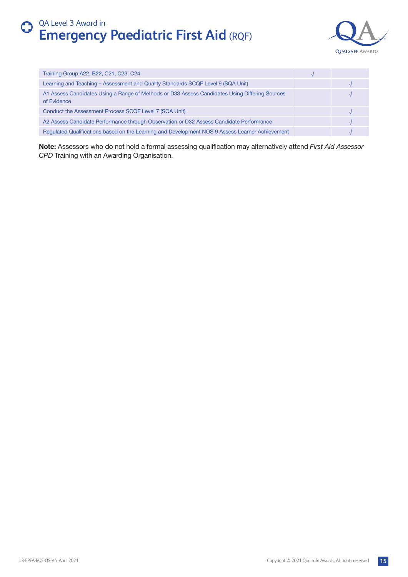

| Training Group A22, B22, C21, C23, C24                                                                        |  |
|---------------------------------------------------------------------------------------------------------------|--|
| Learning and Teaching - Assessment and Quality Standards SCQF Level 9 (SQA Unit)                              |  |
| A1 Assess Candidates Using a Range of Methods or D33 Assess Candidates Using Differing Sources<br>of Evidence |  |
| Conduct the Assessment Process SCQF Level 7 (SQA Unit)                                                        |  |
| A2 Assess Candidate Performance through Observation or D32 Assess Candidate Performance                       |  |
| Regulated Qualifications based on the Learning and Development NOS 9 Assess Learner Achievement               |  |

**Note:** Assessors who do not hold a formal assessing qualification may alternatively attend *First Aid Assessor CPD* Training with an Awarding Organisation.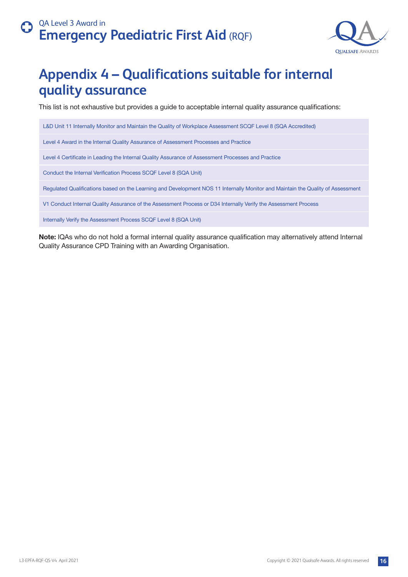

# <span id="page-15-0"></span>**Appendix 4 – Qualifications suitable for internal quality assurance**

This list is not exhaustive but provides a guide to acceptable internal quality assurance qualifications:

L&D Unit 11 Internally Monitor and Maintain the Quality of Workplace Assessment SCQF Level 8 (SQA Accredited)

Level 4 Award in the Internal Quality Assurance of Assessment Processes and Practice

Level 4 Certificate in Leading the Internal Quality Assurance of Assessment Processes and Practice

Conduct the Internal Verification Process SCQF Level 8 (SQA Unit)

Regulated Qualifications based on the Learning and Development NOS 11 Internally Monitor and Maintain the Quality of Assessment

V1 Conduct Internal Quality Assurance of the Assessment Process or D34 Internally Verify the Assessment Process

Internally Verify the Assessment Process SCQF Level 8 (SQA Unit)

**Note:** IQAs who do not hold a formal internal quality assurance qualification may alternatively attend Internal Quality Assurance CPD Training with an Awarding Organisation.